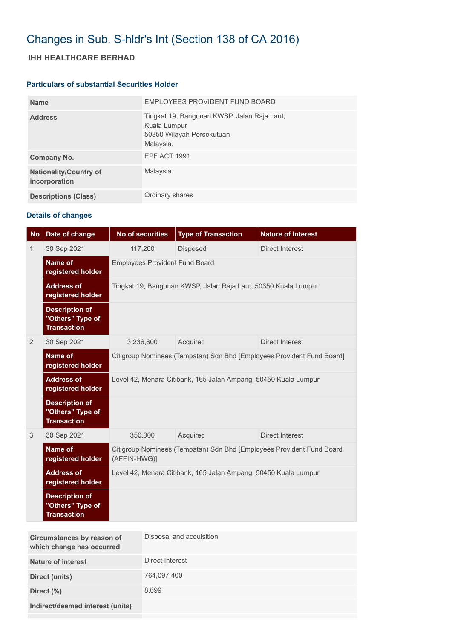## Changes in Sub. S-hldr's Int (Section 138 of CA 2016)

## **IHH HEALTHCARE BERHAD**

## **Particulars of substantial Securities Holder**

| <b>Name</b>                                    | EMPLOYEES PROVIDENT FUND BOARD                                                                        |
|------------------------------------------------|-------------------------------------------------------------------------------------------------------|
| <b>Address</b>                                 | Tingkat 19, Bangunan KWSP, Jalan Raja Laut,<br>Kuala Lumpur<br>50350 Wilayah Persekutuan<br>Malaysia. |
| Company No.                                    | <b>EPF ACT 1991</b>                                                                                   |
| <b>Nationality/Country of</b><br>incorporation | Malaysia                                                                                              |
| <b>Descriptions (Class)</b>                    | Ordinary shares                                                                                       |

## **Details of changes**

| <b>No</b> | Date of change                                                  | No of securities                                                                      | <b>Type of Transaction</b> | <b>Nature of Interest</b> |  |  |
|-----------|-----------------------------------------------------------------|---------------------------------------------------------------------------------------|----------------------------|---------------------------|--|--|
| 1         | 30 Sep 2021                                                     | 117,200                                                                               | Disposed                   | Direct Interest           |  |  |
|           | <b>Name of</b><br>registered holder                             | <b>Employees Provident Fund Board</b>                                                 |                            |                           |  |  |
|           | <b>Address of</b><br>registered holder                          | Tingkat 19, Bangunan KWSP, Jalan Raja Laut, 50350 Kuala Lumpur                        |                            |                           |  |  |
|           | <b>Description of</b><br>"Others" Type of<br><b>Transaction</b> |                                                                                       |                            |                           |  |  |
| 2         | 30 Sep 2021                                                     | 3,236,600                                                                             | Acquired                   | <b>Direct Interest</b>    |  |  |
|           | <b>Name of</b><br>registered holder                             | Citigroup Nominees (Tempatan) Sdn Bhd [Employees Provident Fund Board]                |                            |                           |  |  |
|           | <b>Address of</b><br>registered holder                          | Level 42, Menara Citibank, 165 Jalan Ampang, 50450 Kuala Lumpur                       |                            |                           |  |  |
|           | <b>Description of</b><br>"Others" Type of<br><b>Transaction</b> |                                                                                       |                            |                           |  |  |
| 3         | 30 Sep 2021                                                     | 350,000                                                                               | Acquired                   | Direct Interest           |  |  |
|           | Name of<br>registered holder                                    | Citigroup Nominees (Tempatan) Sdn Bhd [Employees Provident Fund Board<br>(AFFIN-HWG)] |                            |                           |  |  |
|           | <b>Address of</b><br>registered holder                          | Level 42, Menara Citibank, 165 Jalan Ampang, 50450 Kuala Lumpur                       |                            |                           |  |  |
|           | <b>Description of</b><br>"Others" Type of<br><b>Transaction</b> |                                                                                       |                            |                           |  |  |

| Circumstances by reason of<br>which change has occurred | Disposal and acquisition |
|---------------------------------------------------------|--------------------------|
| Nature of interest                                      | Direct Interest          |
| Direct (units)                                          | 764,097,400              |
| Direct $(\%)$                                           | 8.699                    |
| Indirect/deemed interest (units)                        |                          |